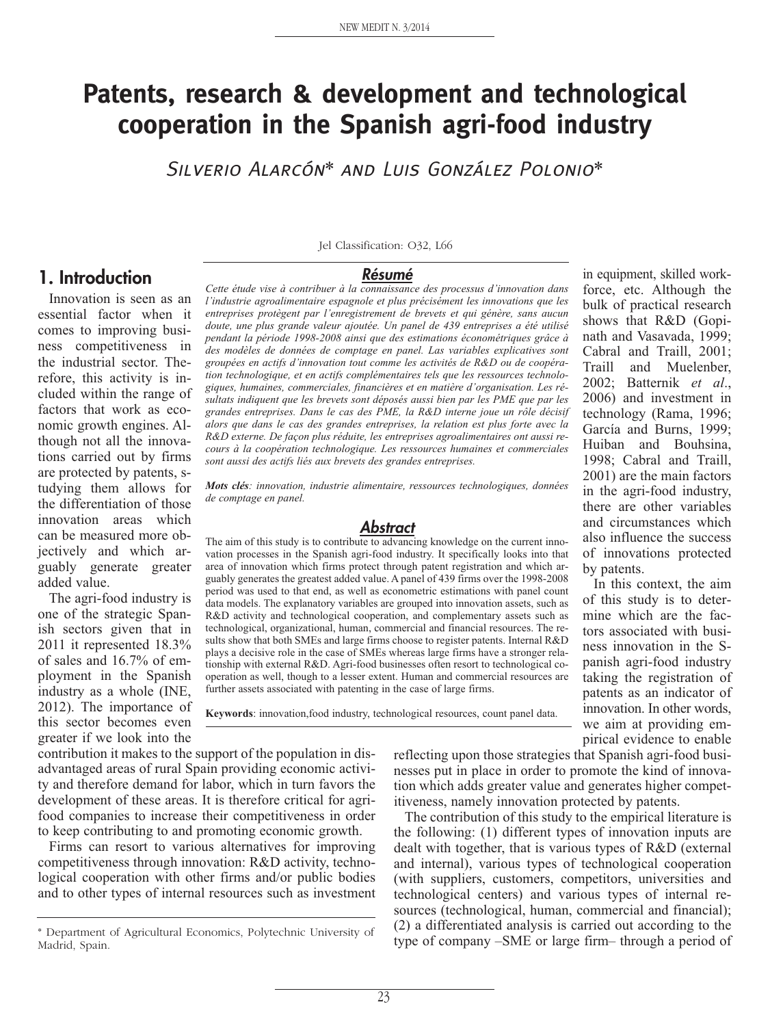# **Patents, research & development and technological cooperation in the Spanish agri-food industry**

Silverio Alarcón\* and Luis González Polonio\*

#### **1. Introduction**

Innovation is seen as an essential factor when it comes to improving business competitiveness in the industrial sector. Therefore, this activity is included within the range of factors that work as economic growth engines. Although not all the innovations carried out by firms are protected by patents, studying them allows for the differentiation of those innovation areas which can be measured more objectively and which arguably generate greater added value.

The agri-food industry is one of the strategic Spanish sectors given that in 2011 it represented 18.3% of sales and 16.7% of employment in the Spanish industry as a whole (INE, 2012). The importance of this sector becomes even greater if we look into the

Jel Classification: O32, L66

#### **Résumé**

*Cette étude vise à contribuer à la connaissance des processus d'innovation dans l'industrie agroalimentaire espagnole et plus précisément les innovations que les entreprises protègent par l'enregistrement de brevets et qui génère, sans aucun doute, une plus grande valeur ajoutée. Un panel de 439 entreprises a été utilisé pendant la période 1998-2008 ainsi que des estimations économétriques grâce à des modèles de données de comptage en panel. Las variables explicatives sont groupées en actifs d'innovation tout comme les activités de R&D ou de coopération technologique, et en actifs complémentaires tels que les ressources technologiques, humaines, commerciales, financières et en matière d'organisation. Les résultats indiquent que les brevets sont déposés aussi bien par les PME que par les grandes entreprises. Dans le cas des PME, la R&D interne joue un rôle décisif alors que dans le cas des grandes entreprises, la relation est plus forte avec la R&D externe. De façon plus réduite, les entreprises agroalimentaires ont aussi recours à la coopération technologique. Les ressources humaines et commerciales sont aussi des actifs liés aux brevets des grandes entreprises.*

*Mots clés: innovation, industrie alimentaire, ressources technologiques, données de comptage en panel.*

#### **Abstract**

The aim of this study is to contribute to advancing knowledge on the current innovation processes in the Spanish agri-food industry. It specifically looks into that area of innovation which firms protect through patent registration and which arguably generates the greatest added value. A panel of 439 firms over the 1998-2008 period was used to that end, as well as econometric estimations with panel count data models. The explanatory variables are grouped into innovation assets, such as R&D activity and technological cooperation, and complementary assets such as technological, organizational, human, commercial and financial resources. The results show that both SMEs and large firms choose to register patents. Internal R&D plays a decisive role in the case of SMEs whereas large firms have a stronger relationship with external R&D. Agri-food businesses often resort to technological cooperation as well, though to a lesser extent. Human and commercial resources are further assets associated with patenting in the case of large firms.

**Keywords**: innovation,food industry, technological resources, count panel data.

contribution it makes to the support of the population in disadvantaged areas of rural Spain providing economic activity and therefore demand for labor, which in turn favors the development of these areas. It is therefore critical for agrifood companies to increase their competitiveness in order to keep contributing to and promoting economic growth.

Firms can resort to various alternatives for improving competitiveness through innovation: R&D activity, technological cooperation with other firms and/or public bodies and to other types of internal resources such as investment reflecting upon those strategies that Spanish agri-food businesses put in place in order to promote the kind of innovation which adds greater value and generates higher competitiveness, namely innovation protected by patents.

The contribution of this study to the empirical literature is the following: (1) different types of innovation inputs are dealt with together, that is various types of R&D (external and internal), various types of technological cooperation (with suppliers, customers, competitors, universities and technological centers) and various types of internal resources (technological, human, commercial and financial); (2) a differentiated analysis is carried out according to the type of company –SME or large firm– through a period of

force, etc. Although the bulk of practical research shows that R&D (Gopinath and Vasavada, 1999; Cabral and Traill, 2001; Traill and Muelenber, 2002; Batternik *et al*., 2006) and investment in technology (Rama, 1996; García and Burns, 1999; Huiban and Bouhsina, 1998; Cabral and Traill, 2001) are the main factors in the agri-food industry, there are other variables and circumstances which also influence the success of innovations protected by patents.

in equipment, skilled work-

In this context, the aim of this study is to determine which are the factors associated with business innovation in the Spanish agri-food industry taking the registration of patents as an indicator of innovation. In other words, we aim at providing empirical evidence to enable

<sup>\*</sup> Department of Agricultural Economics, Polytechnic University of Madrid, Spain.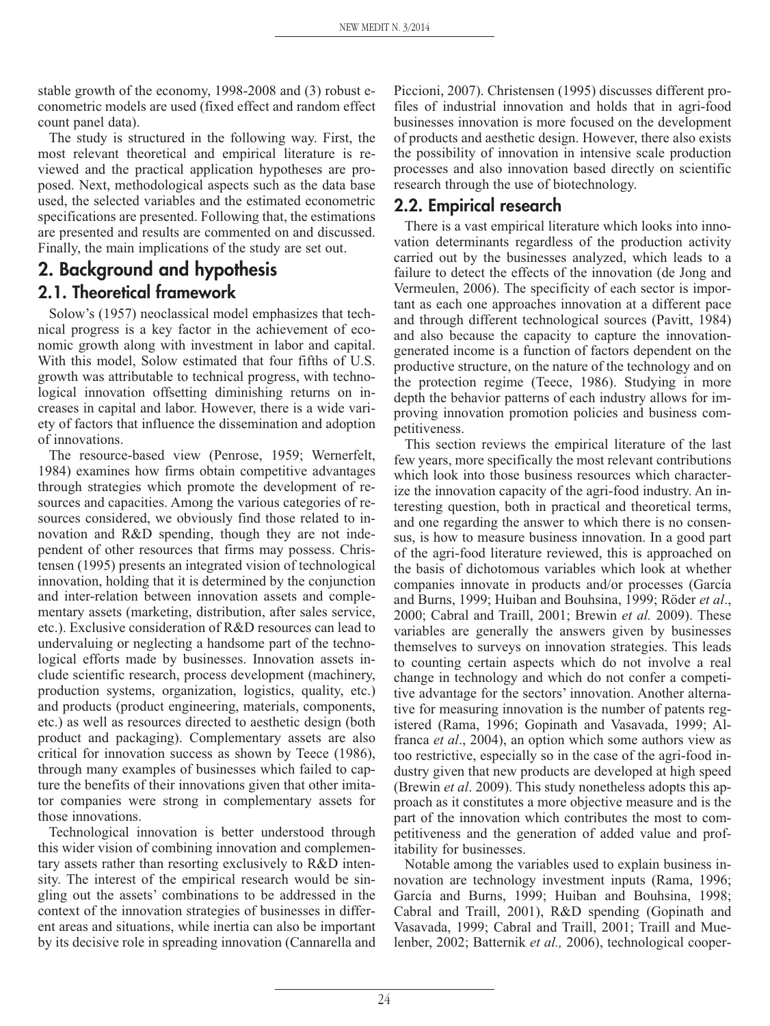stable growth of the economy, 1998-2008 and (3) robust econometric models are used (fixed effect and random effect count panel data).

The study is structured in the following way. First, the most relevant theoretical and empirical literature is reviewed and the practical application hypotheses are proposed. Next, methodological aspects such as the data base used, the selected variables and the estimated econometric specifications are presented. Following that, the estimations are presented and results are commented on and discussed. Finally, the main implications of the study are set out.

## **2. Background and hypothesis**

### **2.1. Theoretical framework**

Solow's (1957) neoclassical model emphasizes that technical progress is a key factor in the achievement of economic growth along with investment in labor and capital. With this model, Solow estimated that four fifths of U.S. growth was attributable to technical progress, with technological innovation offsetting diminishing returns on increases in capital and labor. However, there is a wide variety of factors that influence the dissemination and adoption of innovations.

The resource-based view (Penrose, 1959; Wernerfelt, 1984) examines how firms obtain competitive advantages through strategies which promote the development of resources and capacities. Among the various categories of resources considered, we obviously find those related to innovation and R&D spending, though they are not independent of other resources that firms may possess. Christensen (1995) presents an integrated vision of technological innovation, holding that it is determined by the conjunction and inter-relation between innovation assets and complementary assets (marketing, distribution, after sales service, etc.). Exclusive consideration of R&D resources can lead to undervaluing or neglecting a handsome part of the technological efforts made by businesses. Innovation assets include scientific research, process development (machinery, production systems, organization, logistics, quality, etc.) and products (product engineering, materials, components, etc.) as well as resources directed to aesthetic design (both product and packaging). Complementary assets are also critical for innovation success as shown by Teece (1986), through many examples of businesses which failed to capture the benefits of their innovations given that other imitator companies were strong in complementary assets for those innovations.

Technological innovation is better understood through this wider vision of combining innovation and complementary assets rather than resorting exclusively to R&D intensity. The interest of the empirical research would be singling out the assets' combinations to be addressed in the context of the innovation strategies of businesses in different areas and situations, while inertia can also be important by its decisive role in spreading innovation (Cannarella and

Piccioni, 2007). Christensen (1995) discusses different profiles of industrial innovation and holds that in agri-food businesses innovation is more focused on the development of products and aesthetic design. However, there also exists the possibility of innovation in intensive scale production processes and also innovation based directly on scientific research through the use of biotechnology.

#### **2.2. Empirical research**

There is a vast empirical literature which looks into innovation determinants regardless of the production activity carried out by the businesses analyzed, which leads to a failure to detect the effects of the innovation (de Jong and Vermeulen, 2006). The specificity of each sector is important as each one approaches innovation at a different pace and through different technological sources (Pavitt, 1984) and also because the capacity to capture the innovationgenerated income is a function of factors dependent on the productive structure, on the nature of the technology and on the protection regime (Teece, 1986). Studying in more depth the behavior patterns of each industry allows for improving innovation promotion policies and business competitiveness.

This section reviews the empirical literature of the last few years, more specifically the most relevant contributions which look into those business resources which characterize the innovation capacity of the agri-food industry. An interesting question, both in practical and theoretical terms, and one regarding the answer to which there is no consensus, is how to measure business innovation. In a good part of the agri-food literature reviewed, this is approached on the basis of dichotomous variables which look at whether companies innovate in products and/or processes (García and Burns, 1999; Huiban and Bouhsina, 1999; Röder *et al*., 2000; Cabral and Traill, 2001; Brewin *et al.* 2009). These variables are generally the answers given by businesses themselves to surveys on innovation strategies. This leads to counting certain aspects which do not involve a real change in technology and which do not confer a competitive advantage for the sectors' innovation. Another alternative for measuring innovation is the number of patents registered (Rama, 1996; Gopinath and Vasavada, 1999; Alfranca *et al*., 2004), an option which some authors view as too restrictive, especially so in the case of the agri-food industry given that new products are developed at high speed (Brewin *et al*. 2009). This study nonetheless adopts this approach as it constitutes a more objective measure and is the part of the innovation which contributes the most to competitiveness and the generation of added value and profitability for businesses.

Notable among the variables used to explain business innovation are technology investment inputs (Rama, 1996; García and Burns, 1999; Huiban and Bouhsina, 1998; Cabral and Traill, 2001), R&D spending (Gopinath and Vasavada, 1999; Cabral and Traill, 2001; Traill and Muelenber, 2002; Batternik *et al.,* 2006), technological cooper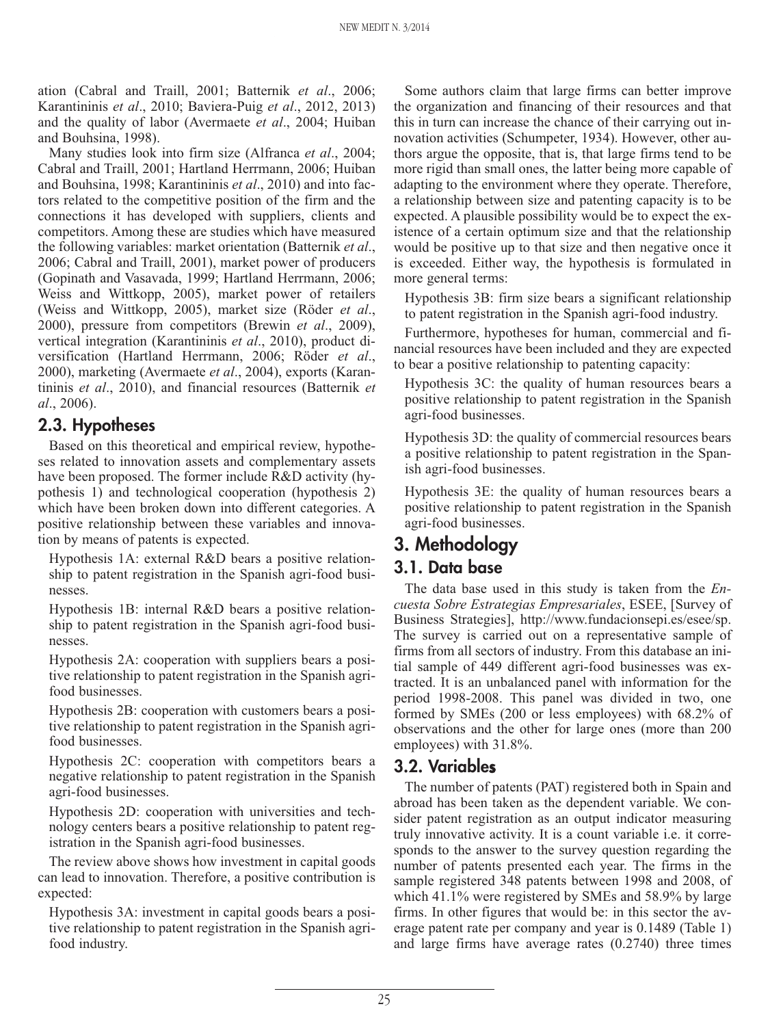ation (Cabral and Traill, 2001; Batternik *et al*., 2006; Karantininis *et al*., 2010; Baviera-Puig *et al*., 2012, 2013) and the quality of labor (Avermaete *et al*., 2004; Huiban and Bouhsina, 1998).

Many studies look into firm size (Alfranca *et al*., 2004; Cabral and Traill, 2001; Hartland Herrmann, 2006; Huiban and Bouhsina, 1998; Karantininis *et al*., 2010) and into factors related to the competitive position of the firm and the connections it has developed with suppliers, clients and competitors. Among these are studies which have measured the following variables: market orientation (Batternik *et al*., 2006; Cabral and Traill, 2001), market power of producers (Gopinath and Vasavada, 1999; Hartland Herrmann, 2006; Weiss and Wittkopp, 2005), market power of retailers (Weiss and Wittkopp, 2005), market size (Röder *et al*., 2000), pressure from competitors (Brewin *et al*., 2009), vertical integration (Karantininis *et al*., 2010), product diversification (Hartland Herrmann, 2006; Röder *et al*., 2000), marketing (Avermaete *et al*., 2004), exports (Karantininis *et al*., 2010), and financial resources (Batternik *et al*., 2006).

#### **2.3. Hypotheses**

Based on this theoretical and empirical review, hypotheses related to innovation assets and complementary assets have been proposed. The former include R&D activity (hypothesis 1) and technological cooperation (hypothesis 2) which have been broken down into different categories. A positive relationship between these variables and innovation by means of patents is expected.

Hypothesis 1A: external R&D bears a positive relationship to patent registration in the Spanish agri-food businesses.

Hypothesis 1B: internal R&D bears a positive relationship to patent registration in the Spanish agri-food businesses.

Hypothesis 2A: cooperation with suppliers bears a positive relationship to patent registration in the Spanish agrifood businesses.

Hypothesis 2B: cooperation with customers bears a positive relationship to patent registration in the Spanish agrifood businesses.

Hypothesis 2C: cooperation with competitors bears a negative relationship to patent registration in the Spanish agri-food businesses.

Hypothesis 2D: cooperation with universities and technology centers bears a positive relationship to patent registration in the Spanish agri-food businesses.

The review above shows how investment in capital goods can lead to innovation. Therefore, a positive contribution is expected:

Hypothesis 3A: investment in capital goods bears a positive relationship to patent registration in the Spanish agrifood industry.

Some authors claim that large firms can better improve the organization and financing of their resources and that this in turn can increase the chance of their carrying out innovation activities (Schumpeter, 1934). However, other authors argue the opposite, that is, that large firms tend to be more rigid than small ones, the latter being more capable of adapting to the environment where they operate. Therefore, a relationship between size and patenting capacity is to be expected. A plausible possibility would be to expect the existence of a certain optimum size and that the relationship would be positive up to that size and then negative once it is exceeded. Either way, the hypothesis is formulated in more general terms:

Hypothesis 3B: firm size bears a significant relationship to patent registration in the Spanish agri-food industry.

Furthermore, hypotheses for human, commercial and financial resources have been included and they are expected to bear a positive relationship to patenting capacity:

Hypothesis 3C: the quality of human resources bears a positive relationship to patent registration in the Spanish agri-food businesses.

Hypothesis 3D: the quality of commercial resources bears a positive relationship to patent registration in the Spanish agri-food businesses.

Hypothesis 3E: the quality of human resources bears a positive relationship to patent registration in the Spanish agri-food businesses.

## **3. Methodology**

#### **3.1. Data base**

The data base used in this study is taken from the *Encuesta Sobre Estrategias Empresariales*, ESEE, [Survey of Business Strategies], http://www.fundacionsepi.es/esee/sp. The survey is carried out on a representative sample of firms from all sectors of industry. From this database an initial sample of 449 different agri-food businesses was extracted. It is an unbalanced panel with information for the period 1998-2008. This panel was divided in two, one formed by SMEs (200 or less employees) with 68.2% of observations and the other for large ones (more than 200 employees) with 31.8%.

#### **3.2. Variables**

The number of patents (PAT) registered both in Spain and abroad has been taken as the dependent variable. We consider patent registration as an output indicator measuring truly innovative activity. It is a count variable i.e. it corresponds to the answer to the survey question regarding the number of patents presented each year. The firms in the sample registered 348 patents between 1998 and 2008, of which 41.1% were registered by SMEs and 58.9% by large firms. In other figures that would be: in this sector the average patent rate per company and year is 0.1489 (Table 1) and large firms have average rates (0.2740) three times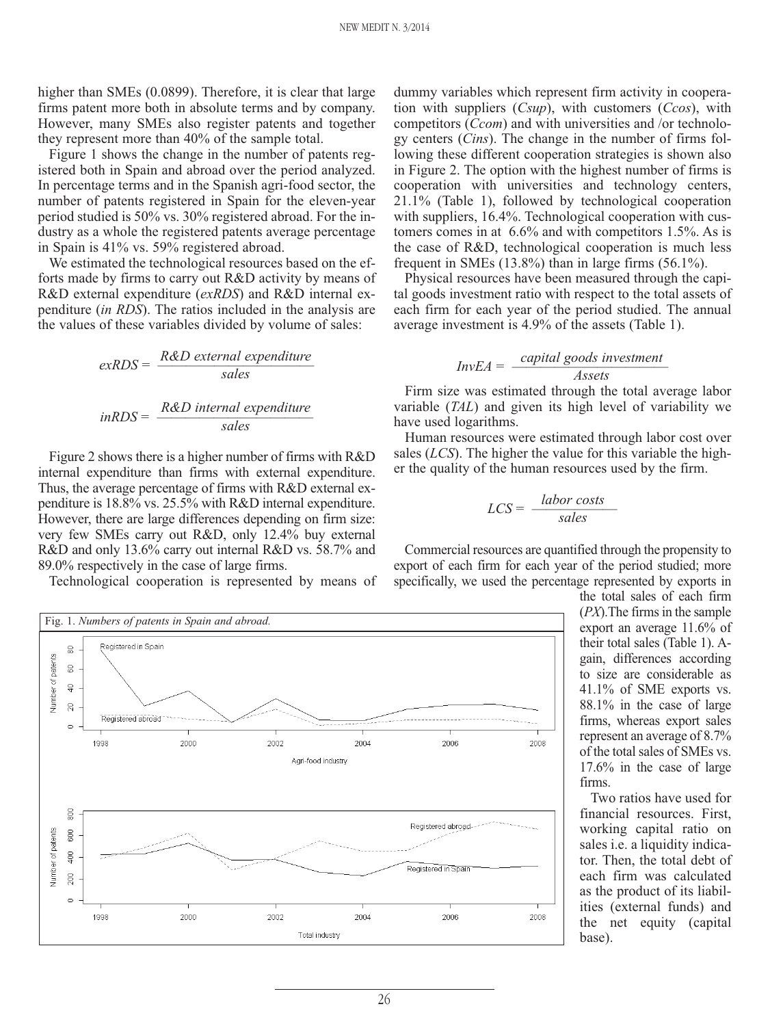higher than SMEs (0.0899). Therefore, it is clear that large firms patent more both in absolute terms and by company. However, many SMEs also register patents and together they represent more than 40% of the sample total.

Figure 1 shows the change in the number of patents registered both in Spain and abroad over the period analyzed. In percentage terms and in the Spanish agri-food sector, the number of patents registered in Spain for the eleven-year period studied is 50% vs. 30% registered abroad. For the industry as a whole the registered patents average percentage in Spain is 41% vs. 59% registered abroad.

We estimated the technological resources based on the efforts made by firms to carry out R&D activity by means of R&D external expenditure (*exRDS*) and R&D internal expenditure (*in RDS*). The ratios included in the analysis are the values of these variables divided by volume of sales:

$$
exRDS = \frac{R&D\text{ external expenditure}}{\text{sales}}
$$
  
 
$$
inRDS = \frac{R&D\text{ internal expenditure}}{\text{sales}}
$$

Figure 2 shows there is a higher number of firms with R&D internal expenditure than firms with external expenditure. Thus, the average percentage of firms with R&D external expenditure is 18.8% vs. 25.5% with R&D internal expenditure. However, there are large differences depending on firm size: very few SMEs carry out R&D, only 12.4% buy external R&D and only 13.6% carry out internal R&D vs. 58.7% and 89.0% respectively in the case of large firms.

Technological cooperation is represented by means of

dummy variables which represent firm activity in cooperation with suppliers (*Csup*), with customers (*Ccos*), with competitors (*Ccom*) and with universities and /or technology centers (*Cins*). The change in the number of firms following these different cooperation strategies is shown also in Figure 2. The option with the highest number of firms is cooperation with universities and technology centers, 21.1% (Table 1), followed by technological cooperation with suppliers, 16.4%. Technological cooperation with customers comes in at 6.6% and with competitors 1.5%. As is the case of R&D, technological cooperation is much less frequent in SMEs  $(13.8\%)$  than in large firms  $(56.1\%)$ .

Physical resources have been measured through the capital goods investment ratio with respect to the total assets of each firm for each year of the period studied. The annual average investment is 4.9% of the assets (Table 1).

# *InvEA* =  $\frac{capital \text{ goods investment}}{t$

Firm size was estimated through the total average labor variable (*TAL*) and given its high level of variability we have used logarithms.

Human resources were estimated through labor cost over sales (*LCS*). The higher the value for this variable the higher the quality of the human resources used by the firm.

$$
LCS = \frac{labor\ costs}{sales}
$$

Commercial resources are quantified through the propensity to export of each firm for each year of the period studied; more specifically, we used the percentage represented by exports in



the total sales of each firm (*PX*).The firms in the sample export an average 11.6% of their total sales (Table 1). Again, differences according to size are considerable as 41.1% of SME exports vs. 88.1% in the case of large firms, whereas export sales represent an average of 8.7% of the total sales of SMEs vs. 17.6% in the case of large firms.

Two ratios have used for financial resources. First, working capital ratio on sales i.e. a liquidity indicator. Then, the total debt of each firm was calculated as the product of its liabilities (external funds) and the net equity (capital base).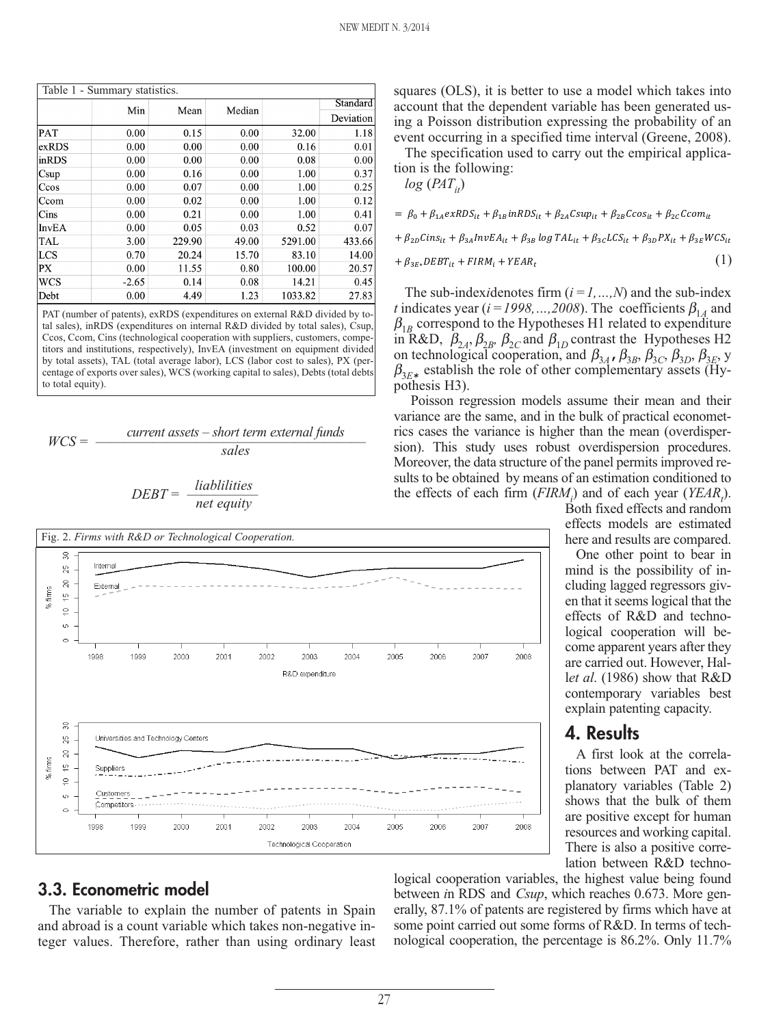| Table 1 - Summary statistics. |         |        |        |         |          |  |  |  |
|-------------------------------|---------|--------|--------|---------|----------|--|--|--|
|                               | Min     | Mean   | Median |         | Standard |  |  |  |
|                               |         |        |        |         |          |  |  |  |
| PAT                           | 0.00    | 0.15   | 0.00   | 32.00   | 1.18     |  |  |  |
| exRDS                         | 0.00    | 0.00   | 0.00   | 0.16    | 0.01     |  |  |  |
| inRDS                         | 0.00    | 0.00   | 0.00   | 0.08    | 0.00     |  |  |  |
| Csup                          | 0.00    | 0.16   | 0.00   | 1.00    | 0.37     |  |  |  |
| Ccos                          | 0.00    | 0.07   | 0.00   | 1.00    | 0.25     |  |  |  |
| Ccom                          | 0.00    | 0.02   | 0.00   | 1.00    | 0.12     |  |  |  |
| Cins                          | 0.00    | 0.21   | 0.00   | 1.00    | 0.41     |  |  |  |
| <b>InvEA</b>                  | 0.00    | 0.05   | 0.03   | 0.52    | 0.07     |  |  |  |
| TAL                           | 3.00    | 229.90 | 49.00  | 5291.00 | 433.66   |  |  |  |
| <b>LCS</b>                    | 0.70    | 20.24  | 15.70  | 83.10   | 14.00    |  |  |  |
| PX                            | 0.00    | 11.55  | 0.80   | 100.00  | 20.57    |  |  |  |
| <b>WCS</b>                    | $-2.65$ | 0.14   | 0.08   | 14.21   | 0.45     |  |  |  |
| Debt                          | 0.00    | 4.49   | 1.23   | 1033.82 | 27.83    |  |  |  |

PAT (number of patents), exRDS (expenditures on external R&D divided by total sales), inRDS (expenditures on internal R&D divided by total sales), Csup, Ccos, Ccom, Cins (technological cooperation with suppliers, customers, competitors and institutions, respectively), InvEA (investment on equipment divided by total assets), TAL (total average labor), LCS (labor cost to sales), PX (percentage of exports over sales), WCS (working capital to sales), Debts (total debts to total equity).

$$
WCS =
$$
 *current assets – short term external funds*  
*sales*

$$
DEBT = \frac{liabilities}{net\ equity}
$$



#### **3.3. Econometric model**

The variable to explain the number of patents in Spain and abroad is a count variable which takes non-negative integer values. Therefore, rather than using ordinary least squares (OLS), it is better to use a model which takes into account that the dependent variable has been generated using a Poisson distribution expressing the probability of an event occurring in a specified time interval (Greene, 2008).

The specification used to carry out the empirical application is the following:

 $log(PAT_{it})$ 

$$
= \beta_0 + \beta_{1A} expS_{it} + \beta_{1B} in RDS_{it} + \beta_{2A} Csup_{it} + \beta_{2B} Ccos_{it} + \beta_{2C} Com_{it}
$$

+  $\beta_{2D}Cins_{it} + \beta_{3A}InvEA_{it} + \beta_{3B}log TAL_{it} + \beta_{3C}LCS_{it} + \beta_{3D}PX_{it} + \beta_{3E}WCS_{it}$ 

$$
+\beta_{3E*}DEBT_{it} + FIRM_i + YEAR_t \tag{1}
$$

The sub-index*i*denotes firm  $(i = 1, ..., N)$  and the sub-index *t* indicates year ( $i = 1998, \ldots, 2008$ ). The coefficients  $\beta_{14}$  and  $\beta_{1B}$  correspond to the Hypotheses H1 related to expenditure in R&D,  $\beta_{2A}$ ,  $\beta_{2B}$ ,  $\beta_{2C}$  and  $\beta_{1D}$  contrast the Hypotheses H2 on technological cooperation, and  $\beta_{3A}$ ,  $\beta_{3B}$ ,  $\beta_{3C}$ ,  $\beta_{3D}$ ,  $\beta_{3E}$ , y  $\beta_{3E*}$  establish the role of other complementary assets (Hypothesis H3).

Poisson regression models assume their mean and their variance are the same, and in the bulk of practical econometrics cases the variance is higher than the mean (overdispersion). This study uses robust overdispersion procedures. Moreover, the data structure of the panel permits improved results to be obtained by means of an estimation conditioned to the effects of each firm  $(FIRM_i)$  and of each year  $(YEAR_i)$ .

Both fixed effects and random effects models are estimated here and results are compared.

One other point to bear in mind is the possibility of including lagged regressors given that it seems logical that the effects of R&D and technological cooperation will become apparent years after they are carried out. However, Hall*et al*. (1986) show that R&D contemporary variables best explain patenting capacity.

#### **4. Results**

A first look at the correlations between PAT and explanatory variables (Table 2) shows that the bulk of them are positive except for human resources and working capital. There is also a positive correlation between R&D techno-

logical cooperation variables, the highest value being found between *i*n RDS and *Csup*, which reaches 0.673. More generally, 87.1% of patents are registered by firms which have at some point carried out some forms of R&D. In terms of technological cooperation, the percentage is 86.2%. Only 11.7%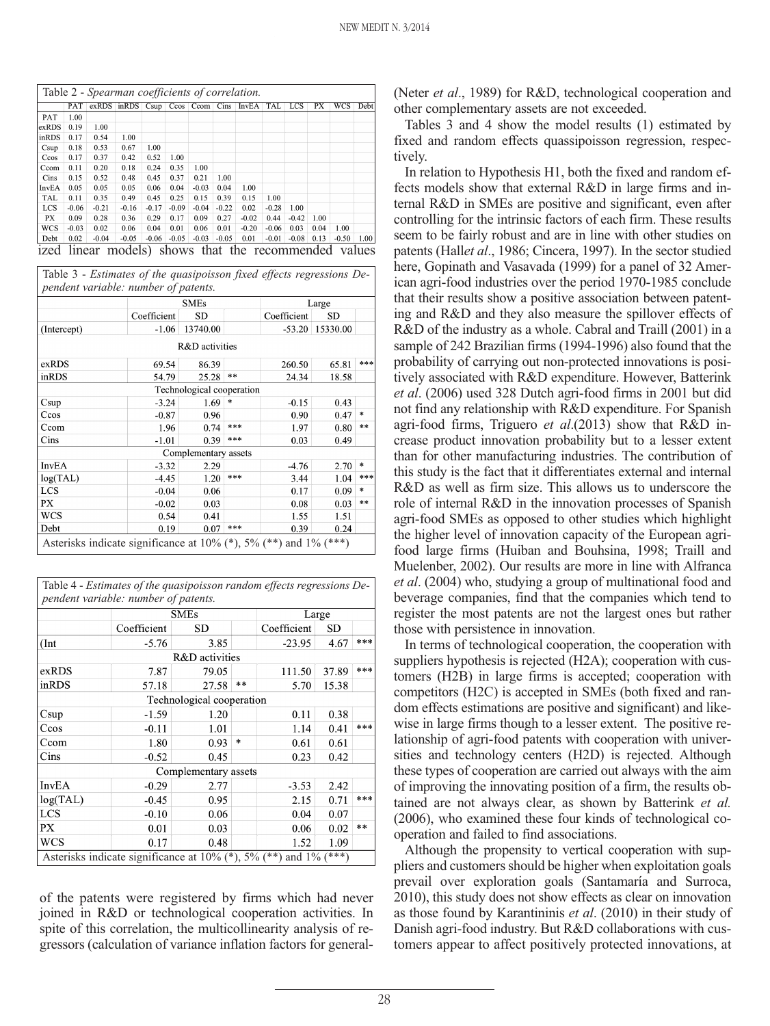| Table 2 - Spearman coefficients of correlation.<br>$in RDS$ $Csup$ $Ccos$ $Ccom$ |         |         |         |         |         |         |         |              |         |            |      |            |      |
|----------------------------------------------------------------------------------|---------|---------|---------|---------|---------|---------|---------|--------------|---------|------------|------|------------|------|
|                                                                                  | PAT     | exRDS   |         |         |         |         | Cins    | <b>InvEA</b> | TAL     | <b>LCS</b> | PX   | <b>WCS</b> | Debt |
| PAT                                                                              | 1.00    |         |         |         |         |         |         |              |         |            |      |            |      |
| exRDS                                                                            | 0.19    | 1.00    |         |         |         |         |         |              |         |            |      |            |      |
| inRDS                                                                            | 0.17    | 0.54    | 1.00    |         |         |         |         |              |         |            |      |            |      |
| Csup                                                                             | 0.18    | 0.53    | 0.67    | 1.00    |         |         |         |              |         |            |      |            |      |
| Ccos                                                                             | 0.17    | 0.37    | 0.42    | 0.52    | 1.00    |         |         |              |         |            |      |            |      |
| Ccom                                                                             | 0.11    | 0.20    | 0.18    | 0.24    | 0.35    | 1.00    |         |              |         |            |      |            |      |
| Cins                                                                             | 0.15    | 0.52    | 0.48    | 0.45    | 0.37    | 0.21    | 1.00    |              |         |            |      |            |      |
| InvEA                                                                            | 0.05    | 0.05    | 0.05    | 0.06    | 0.04    | $-0.03$ | 0.04    | 1.00         |         |            |      |            |      |
| TAL                                                                              | 0.11    | 0.35    | 0.49    | 0.45    | 0.25    | 0.15    | 0.39    | 0.15         | 1.00    |            |      |            |      |
| <b>LCS</b>                                                                       | $-0.06$ | $-0.21$ | $-0.16$ | $-0.17$ | $-0.09$ | $-0.04$ | $-0.22$ | 0.02         | $-0.28$ | 1.00       |      |            |      |
| PХ                                                                               | 0.09    | 0.28    | 0.36    | 0.29    | 0.17    | 0.09    | 0.27    | $-0.02$      | 0.44    | $-0.42$    | 1.00 |            |      |
| WCS                                                                              | $-0.03$ | 0.02    | 0.06    | 0.04    | 0.01    | 0.06    | 0.01    | $-0.20$      | $-0.06$ | 0.03       | 0.04 | 1.00       |      |
| Debt                                                                             | 0.02    | $-0.04$ | $-0.05$ | $-0.06$ | $-0.05$ | $-0.03$ | $-0.05$ | 0.01         | $-0.01$ | $-0.08$    | 0.13 | $-0.50$    | 1.00 |

Table 3 - *Estimates of the quasipoisson fixed effects regressions Dependent variable: number of patents.*

|              |             | <b>SMEs</b>               |     |             | Large    |        |  |  |
|--------------|-------------|---------------------------|-----|-------------|----------|--------|--|--|
|              | Coefficient | <b>SD</b>                 |     | Coefficient | SD       |        |  |  |
| (Intercept)  | $-1.06$     | 13740.00                  |     | $-53.20$    | 15330.00 |        |  |  |
|              |             | R&D activities            |     |             |          |        |  |  |
| exRDS        | 69.54       | 86.39                     |     | 260.50      | 65.81    | ***    |  |  |
| inRDS        | 54.79       | $25.28$ **                |     | 24.34       | 18.58    |        |  |  |
|              |             | Technological cooperation |     |             |          |        |  |  |
| Csup         | $-3.24$     | 1.69                      | *   | $-0.15$     | 0.43     |        |  |  |
| Ccos         | $-0.87$     | 0.96                      |     | 0.90        | 0.47     | $\ast$ |  |  |
| Ccom         | 1.96        | $0.74$ ***                |     | 1.97        | 0.80     | $**$   |  |  |
| Cins         | $-1.01$     | 0.39                      | *** | 0.03        | 0.49     |        |  |  |
|              |             | Complementary assets      |     |             |          |        |  |  |
| <b>InvEA</b> | $-3.32$     | 2.29                      |     | $-4.76$     | 2.70     | *      |  |  |
| log(TAL)     | $-4.45$     | 1.20                      | *** | 3.44        | 1.04     | ***    |  |  |
| LCS          | $-0.04$     | 0.06                      |     | 0.17        | 0.09     | $\ast$ |  |  |
| PX           | $-0.02$     | 0.03                      |     | 0.08        | 0.03     | **     |  |  |
| <b>WCS</b>   | 0.54        | 0.41                      |     | 1.55        | 1.51     |        |  |  |
| Debt         | 0.19        | 0.07                      | *** | 0.39        | 0.24     |        |  |  |

| Table 4 - Estimates of the quasipoisson random effects regressions De- |             |                      |       |             |        |       |  |  |  |  |
|------------------------------------------------------------------------|-------------|----------------------|-------|-------------|--------|-------|--|--|--|--|
| pendent variable: number of patents.                                   |             |                      |       |             |        |       |  |  |  |  |
|                                                                        |             | <b>SMEs</b>          | Large |             |        |       |  |  |  |  |
|                                                                        | Coefficient | <b>SD</b>            |       | Coefficient | SD     |       |  |  |  |  |
| (Int)                                                                  | $-5.76$     | 3.85                 |       | $-23.95$    | 4.67   | ***   |  |  |  |  |
|                                                                        |             | R&D activities       |       |             |        |       |  |  |  |  |
| exRDS                                                                  | 7.87        | 79.05                |       | 111.50      | 37.89  | ***   |  |  |  |  |
| inRDS                                                                  | 57.18       | 27.58                | $**$  | 5.70        | 15.38  |       |  |  |  |  |
| Technological cooperation                                              |             |                      |       |             |        |       |  |  |  |  |
| Csup                                                                   | $-1.59$     | 1.20                 |       | 0.11        | 0.38   |       |  |  |  |  |
| Ccos                                                                   | $-0.11$     | 1.01                 |       | 1.14        | 0.41   | ***   |  |  |  |  |
| Ccom                                                                   | 1.80        | 0.93                 | *     | 0.61        | 0.61   |       |  |  |  |  |
| Cins                                                                   | $-0.52$     | 0.45                 |       | 0.23        | 0.42   |       |  |  |  |  |
|                                                                        |             | Complementary assets |       |             |        |       |  |  |  |  |
| <b>InvEA</b>                                                           | $-0.29$     | 2.77                 |       | $-3.53$     | 2.42   |       |  |  |  |  |
| log(TAL)                                                               | $-0.45$     | 0.95                 |       | 2.15        | 0.71   | ***   |  |  |  |  |
| LCS                                                                    | $-0.10$     | 0.06                 |       | 0.04        | 0.07   |       |  |  |  |  |
| PX                                                                     | 0.01        | 0.03                 |       | 0.06        | 0.02   | $* *$ |  |  |  |  |
| WCS                                                                    | 0.17        | 0.48                 |       | 1.52        | 1.09   |       |  |  |  |  |
| Asterisks indicate significance at $10\%$ (*), $5\%$ (**) and $1\%$ (  |             |                      |       |             | $***)$ |       |  |  |  |  |

of the patents were registered by firms which had never joined in R&D or technological cooperation activities. In spite of this correlation, the multicollinearity analysis of regressors (calculation of variance inflation factors for general(Neter *et al*., 1989) for R&D, technological cooperation and other complementary assets are not exceeded.

Tables 3 and 4 show the model results (1) estimated by fixed and random effects quassipoisson regression, respectively.

In relation to Hypothesis H1, both the fixed and random effects models show that external R&D in large firms and internal R&D in SMEs are positive and significant, even after controlling for the intrinsic factors of each firm. These results seem to be fairly robust and are in line with other studies on patents (Hall*et al*., 1986; Cincera, 1997). In the sector studied here, Gopinath and Vasavada (1999) for a panel of 32 American agri-food industries over the period 1970-1985 conclude that their results show a positive association between patenting and R&D and they also measure the spillover effects of R&D of the industry as a whole. Cabral and Traill (2001) in a sample of 242 Brazilian firms (1994-1996) also found that the probability of carrying out non-protected innovations is positively associated with R&D expenditure. However, Batterink *et al*. (2006) used 328 Dutch agri-food firms in 2001 but did not find any relationship with R&D expenditure. For Spanish agri-food firms, Triguero *et al*.(2013) show that R&D increase product innovation probability but to a lesser extent than for other manufacturing industries. The contribution of this study is the fact that it differentiates external and internal R&D as well as firm size. This allows us to underscore the role of internal R&D in the innovation processes of Spanish agri-food SMEs as opposed to other studies which highlight the higher level of innovation capacity of the European agrifood large firms (Huiban and Bouhsina, 1998; Traill and Muelenber, 2002). Our results are more in line with Alfranca *et al*. (2004) who, studying a group of multinational food and beverage companies, find that the companies which tend to register the most patents are not the largest ones but rather those with persistence in innovation.

In terms of technological cooperation, the cooperation with suppliers hypothesis is rejected (H2A); cooperation with customers (H2B) in large firms is accepted; cooperation with competitors (H2C) is accepted in SMEs (both fixed and random effects estimations are positive and significant) and likewise in large firms though to a lesser extent. The positive relationship of agri-food patents with cooperation with universities and technology centers (H2D) is rejected. Although these types of cooperation are carried out always with the aim of improving the innovating position of a firm, the results obtained are not always clear, as shown by Batterink *et al.* (2006), who examined these four kinds of technological cooperation and failed to find associations.

Although the propensity to vertical cooperation with suppliers and customers should be higher when exploitation goals prevail over exploration goals (Santamaría and Surroca, 2010), this study does not show effects as clear on innovation as those found by Karantininis *et al*. (2010) in their study of Danish agri-food industry. But R&D collaborations with customers appear to affect positively protected innovations, at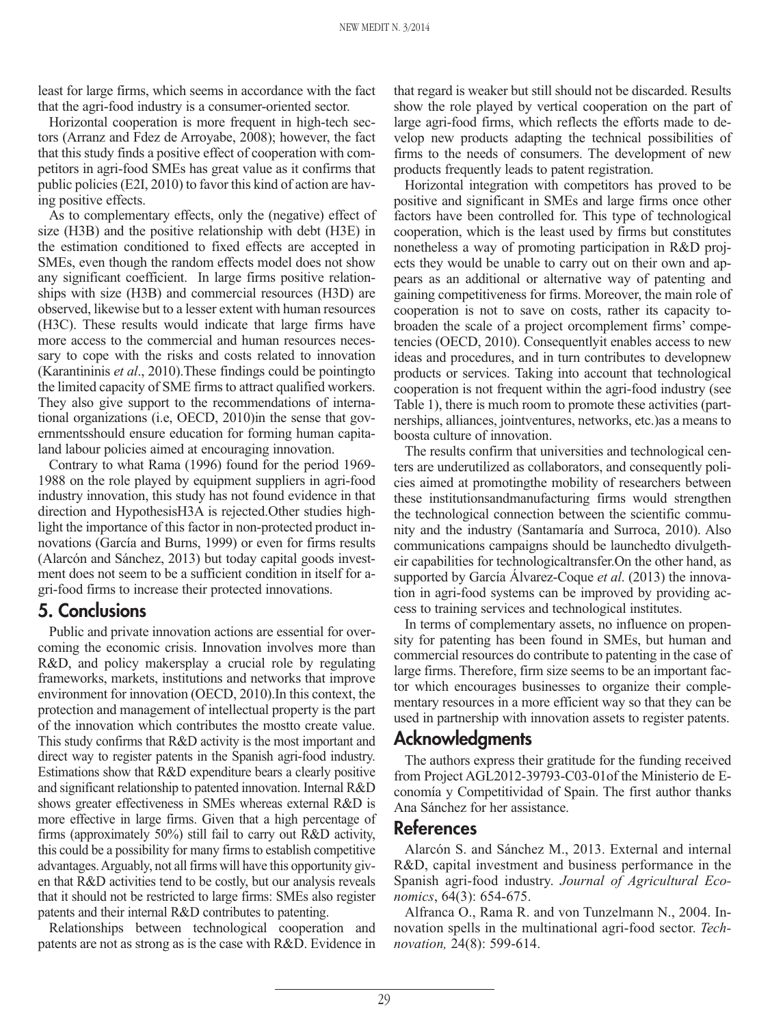least for large firms, which seems in accordance with the fact that the agri-food industry is a consumer-oriented sector.

Horizontal cooperation is more frequent in high-tech sectors (Arranz and Fdez de Arroyabe, 2008); however, the fact that this study finds a positive effect of cooperation with competitors in agri-food SMEs has great value as it confirms that public policies (E2I, 2010) to favor this kind of action are having positive effects.

As to complementary effects, only the (negative) effect of size (H3B) and the positive relationship with debt (H3E) in the estimation conditioned to fixed effects are accepted in SMEs, even though the random effects model does not show any significant coefficient. In large firms positive relationships with size (H3B) and commercial resources (H3D) are observed, likewise but to a lesser extent with human resources (H3C). These results would indicate that large firms have more access to the commercial and human resources necessary to cope with the risks and costs related to innovation (Karantininis *et al*., 2010).These findings could be pointingto the limited capacity of SME firms to attract qualified workers. They also give support to the recommendations of international organizations (i.e, OECD, 2010)in the sense that governmentsshould ensure education for forming human capitaland labour policies aimed at encouraging innovation.

Contrary to what Rama (1996) found for the period 1969- 1988 on the role played by equipment suppliers in agri-food industry innovation, this study has not found evidence in that direction and HypothesisH3A is rejected.Other studies highlight the importance of this factor in non-protected product innovations (García and Burns, 1999) or even for firms results (Alarcón and Sánchez, 2013) but today capital goods investment does not seem to be a sufficient condition in itself for agri-food firms to increase their protected innovations.

### **5. Conclusions**

Public and private innovation actions are essential for overcoming the economic crisis. Innovation involves more than R&D, and policy makersplay a crucial role by regulating frameworks, markets, institutions and networks that improve environment for innovation (OECD, 2010).In this context, the protection and management of intellectual property is the part of the innovation which contributes the mostto create value. This study confirms that R&D activity is the most important and direct way to register patents in the Spanish agri-food industry. Estimations show that R&D expenditure bears a clearly positive and significant relationship to patented innovation. Internal R&D shows greater effectiveness in SMEs whereas external R&D is more effective in large firms. Given that a high percentage of firms (approximately 50%) still fail to carry out R&D activity, this could be a possibility for many firms to establish competitive advantages. Arguably, not all firms will have this opportunity given that R&D activities tend to be costly, but our analysis reveals that it should not be restricted to large firms: SMEs also register patents and their internal R&D contributes to patenting.

Relationships between technological cooperation and patents are not as strong as is the case with R&D. Evidence in that regard is weaker but still should not be discarded. Results show the role played by vertical cooperation on the part of large agri-food firms, which reflects the efforts made to develop new products adapting the technical possibilities of firms to the needs of consumers. The development of new products frequently leads to patent registration.

Horizontal integration with competitors has proved to be positive and significant in SMEs and large firms once other factors have been controlled for. This type of technological cooperation, which is the least used by firms but constitutes nonetheless a way of promoting participation in R&D projects they would be unable to carry out on their own and appears as an additional or alternative way of patenting and gaining competitiveness for firms. Moreover, the main role of cooperation is not to save on costs, rather its capacity tobroaden the scale of a project orcomplement firms' competencies (OECD, 2010). Consequentlyit enables access to new ideas and procedures, and in turn contributes to developnew products or services. Taking into account that technological cooperation is not frequent within the agri-food industry (see Table 1), there is much room to promote these activities (partnerships, alliances, jointventures, networks, etc.)as a means to boosta culture of innovation.

The results confirm that universities and technological centers are underutilized as collaborators, and consequently policies aimed at promotingthe mobility of researchers between these institutionsandmanufacturing firms would strengthen the technological connection between the scientific community and the industry (Santamaría and Surroca, 2010). Also communications campaigns should be launchedto divulgetheir capabilities for technologicaltransfer.On the other hand, as supported by García Álvarez-Coque *et al*. (2013) the innovation in agri-food systems can be improved by providing access to training services and technological institutes.

In terms of complementary assets, no influence on propensity for patenting has been found in SMEs, but human and commercial resources do contribute to patenting in the case of large firms. Therefore, firm size seems to be an important factor which encourages businesses to organize their complementary resources in a more efficient way so that they can be used in partnership with innovation assets to register patents.

### **Acknowledgments**

The authors express their gratitude for the funding received from Project AGL2012-39793-C03-01of the Ministerio de Economía y Competitividad of Spain. The first author thanks Ana Sánchez for her assistance.

#### **References**

Alarcón S. and Sánchez M., 2013. External and internal R&D, capital investment and business performance in the Spanish agri-food industry. *Journal of Agricultural Economics*, 64(3): 654-675.

Alfranca O., Rama R. and von Tunzelmann N., 2004. Innovation spells in the multinational agri-food sector. *Technovation,* 24(8): 599-614.